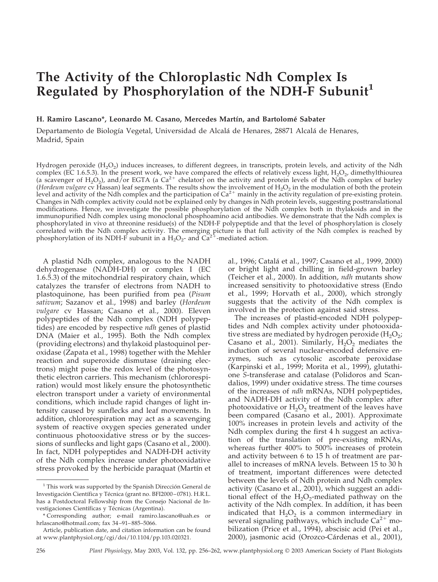# **The Activity of the Chloroplastic Ndh Complex Is Regulated by Phosphorylation of the NDH-F Subunit<sup>1</sup>**

## H. Ramiro Lascano\*, Leonardo M. Casano, Mercedes Martín, and Bartolomé Sabater

Departamento de Biología Vegetal, Universidad de Alcalá de Henares, 28871 Alcalá de Henares, Madrid, Spain

Hydrogen peroxide  $(H<sub>2</sub>O<sub>2</sub>)$  induces increases, to different degrees, in transcripts, protein levels, and activity of the Ndh complex (EC 1.6.5.3). In the present work, we have compared the effects of relatively excess light,  $H_2O_2$ , dimethylthiourea (a scavenger of  $H_2O_2$ ), and/or EGTA (a  $Ca^{2+}$  chelator) on the activity and protein levels of the Ndh complex of barley (*Hordeum vulgare* cv Hassan) leaf segments. The results show the involvement of H<sub>2</sub>O<sub>2</sub> in the modulation of both the protein level and activity of the Ndh complex and the participation of  $Ca^{2+}$  mainly in the activity regulation of pre-existing protein. Changes in Ndh complex activity could not be explained only by changes in Ndh protein levels, suggesting posttranslational modifications. Hence, we investigate the possible phosphorylation of the Ndh complex both in thylakoids and in the immunopurified Ndh complex using monoclonal phosphoamino acid antibodies. We demonstrate that the Ndh complex is phosphorylated in vivo at threonine residue(s) of the NDH-F polypeptide and that the level of phosphorylation is closely correlated with the Ndh complex activity. The emerging picture is that full activity of the Ndh complex is reached by phosphorylation of its NDH-F subunit in a  $H_2O_2$ - and Ca<sup>2+</sup>-mediated action.

A plastid Ndh complex, analogous to the NADH dehydrogenase (NADH-DH) or complex I (EC 1.6.5.3) of the mitochondrial respiratory chain, which catalyzes the transfer of electrons from NADH to plastoquinone, has been purified from pea (*Pisum sativum*; Sazanov et al., 1998) and barley (*Hordeum vulgare* cv Hassan; Casano et al., 2000). Eleven polypeptides of the Ndh complex (NDH polypeptides) are encoded by respective *ndh* genes of plastid DNA (Maier et al., 1995). Both the Ndh complex (providing electrons) and thylakoid plastoquinol peroxidase (Zapata et al., 1998) together with the Mehler reaction and superoxide dismutase (draining electrons) might poise the redox level of the photosynthetic electron carriers. This mechanism (chlororespiration) would most likely ensure the photosynthetic electron transport under a variety of environmental conditions, which include rapid changes of light intensity caused by sunflecks and leaf movements. In addition, chlororespiration may act as a scavenging system of reactive oxygen species generated under continuous photooxidative stress or by the successions of sunflecks and light gaps (Casano et al., 2000). In fact, NDH polypeptides and NADH-DH activity of the Ndh complex increase under photooxidative stress provoked by the herbicide paraquat (Martín et al., 1996; Catala´ et al., 1997; Casano et al., 1999, 2000) or bright light and chilling in field-grown barley (Teicher et al., 2000). In addition, *ndh* mutants show increased sensitivity to photooxidative stress (Endo et al., 1999; Horvath et al., 2000), which strongly suggests that the activity of the Ndh complex is involved in the protection against said stress.

The increases of plastid-encoded NDH polypeptides and Ndh complex activity under photooxidative stress are mediated by hydrogen peroxide  $(H_2O_2;$ Casano et al., 2001). Similarly,  $H_2O_2$  mediates the induction of several nuclear-encoded defensive enzymes, such as cytosolic ascorbate peroxidase (Karpinski et al., 1999; Morita et al., 1999), glutathione *S*-transferase and catalase (Polidoros and Scandalios, 1999) under oxidative stress. The time courses of the increases of *ndh* mRNAs, NDH polypeptides, and NADH-DH activity of the Ndh complex after photooxidative or  $H_2O_2$  treatment of the leaves have been compared (Casano et al., 2001). Approximate 100% increases in protein levels and activity of the Ndh complex during the first 4 h suggest an activation of the translation of pre-existing mRNAs, whereas further 400% to 500% increases of protein and activity between 6 to 15 h of treatment are parallel to increases of mRNA levels. Between 15 to 30 h of treatment, important differences were detected between the levels of Ndh protein and Ndh complex activity (Casano et al., 2001), which suggest an additional effect of the  $H_2O_2$ -mediated pathway on the activity of the Ndh complex. In addition, it has been indicated that  $H_2O_2$  is a common intermediary in several signaling pathways, which include  $Ca^{2+}$  mobilization (Price et al., 1994), abscisic acid (Pei et al., 2000), jasmonic acid (Orozco-Cárdenas et al., 2001),

 $1$  This work was supported by the Spanish Dirección General de Investigación Científica y Técnica (grant no. BFI2000–0781). H.R.L. has a Postdoctoral Fellowship from the Consejo Nacional de Investigaciones Científicas y Técnicas (Argentina).

<sup>\*</sup> Corresponding author; e-mail ramiro.lascano@uah.es or hrlascano@hotmail.com; fax 34–91–885–5066.

Article, publication date, and citation information can be found at www.plantphysiol.org/cgi/doi/10.1104/pp.103.020321.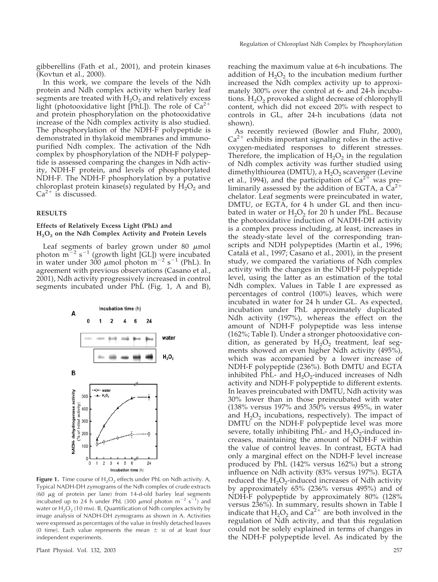gibberellins (Fath et al., 2001), and protein kinases (Kovtun et al., 2000).

In this work, we compare the levels of the Ndh protein and Ndh complex activity when barley leaf segments are treated with  $H_2O_2$  and relatively excess light (photooxidative light [PhL]). The role of  $Ca^{2+}$ and protein phosphorylation on the photooxidative increase of the Ndh complex activity is also studied. The phosphorylation of the NDH-F polypeptide is demonstrated in thylakoid membranes and immunopurified Ndh complex. The activation of the Ndh complex by phosphorylation of the NDH-F polypeptide is assessed comparing the changes in Ndh activity, NDH-F protein, and levels of phosphorylated NDH-F. The NDH-F phosphorylation by a putative chloroplast protein kinase(s) regulated by  $H_2O_2$  and  $Ca^{2+}$  is discussed.

## **RESULTS**

# **Effects of Relatively Excess Light (PhL) and H2O2 on the Ndh Complex Activity and Protein Levels**

Leaf segments of barley grown under 80  $\mu$ mol photon  $m^{-2}$  s<sup>-1</sup> (growth light [GL]) were incubated in water under  $300 \mu$ mol photon m<sup>-2</sup> s<sup>-1</sup> (PhL). In agreement with previous observations (Casano et al., 2001), Ndh activity progressively increased in control segments incubated under PhL (Fig. 1, A and B),



**Figure 1.** Time course of  $H_2O_2$  effects under PhL on Ndh activity. A, Typical NADH-DH zymograms of the Ndh complex of crude extracts (60  $\mu$ g of protein per lane) from 14-d-old barley leaf segments incubated up to 24 h under PhL (300  $\mu$ mol photon m<sup>-2</sup> s<sup>-1</sup>) and water or  $H_2O_2$  (10 mm). B, Quantification of Ndh complex activity by image analysis of NADH-DH zymograms as shown in A. Activities were expressed as percentages of the value in freshly detached leaves (0 time). Each value represents the mean  $\pm$  sE of at least four independent experiments.

reaching the maximum value at 6-h incubations. The addition of  $H_2O_2$  to the incubation medium further increased the Ndh complex activity up to approximately 300% over the control at 6- and 24-h incubations.  $H_2O_2$  provoked a slight decrease of chlorophyll content, which did not exceed 20% with respect to controls in GL, after 24-h incubations (data not shown).

As recently reviewed (Bowler and Fluhr, 2000),  $Ca<sup>2+</sup>$  exhibits important signaling roles in the active oxygen-mediated responses to different stresses. Therefore, the implication of  $H_2O_2$  in the regulation of Ndh complex activity was further studied using dimethylthiourea (DMTU), a  $H_2O_2$  scavenger (Levine et al., 1994), and the participation of  $Ca^{2+}$  was preliminarily assessed by the addition of EGTA, a  $Ca^{2+}$ chelator. Leaf segments were preincubated in water, DMTU, or EGTA, for 4 h under GL and then incubated in water or  $H_2O_2$  for 20 h under PhL. Because the photooxidative induction of NADH-DH activity is a complex process including, at least, increases in the steady-state level of the corresponding transcripts and NDH polypeptides (Martín et al., 1996; Catalá et al., 1997; Casano et al., 2001), in the present study, we compared the variations of Ndh complex activity with the changes in the NDH-F polypeptide level, using the latter as an estimation of the total Ndh complex. Values in Table I are expressed as percentages of control (100%) leaves, which were incubated in water for 24 h under GL. As expected, incubation under PhL approximately duplicated Ndh activity (197%), whereas the effect on the amount of NDH-F polypeptide was less intense (162%; Table I). Under a stronger photooxidative condition, as generated by  $H_2O_2$  treatment, leaf segments showed an even higher Ndh activity (495%), which was accompanied by a lower increase of NDH-F polypeptide (236%). Both DMTU and EGTA inhibited PhL- and  $H_2O_2$ -induced increases of Ndh activity and NDH-F polypeptide to different extents. In leaves preincubated with DMTU, Ndh activity was 30% lower than in those preincubated with water (138% versus 197% and 350% versus 495%, in water and  $H_2O_2$  incubations, respectively). The impact of DMTU on the NDH-F polypeptide level was more severe, totally inhibiting PhL- and  $H_2O_2$ -induced increases, maintaining the amount of NDH-F within the value of control leaves. In contrast, EGTA had only a marginal effect on the NDH-F level increase produced by PhL (142% versus 162%) but a strong influence on Ndh activity (83% versus 197%). EGTA reduced the  $H_2O_2$ -induced increases of Ndh activity by approximately 65% (236% versus 495%) and of NDH-F polypeptide by approximately 80% (128% versus 236%). In summary, results shown in Table I indicate that  $H_2O_2$  and  $Ca^{2+}$  are both involved in the regulation of Ndh activity, and that this regulation could not be solely explained in terms of changes in the NDH-F polypeptide level. As indicated by the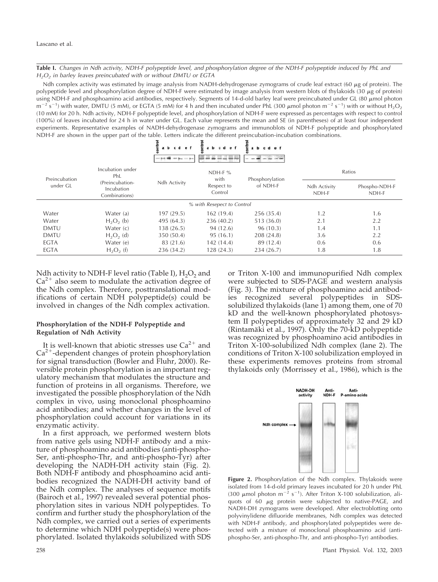**Table I.** *Changes in Ndh activity, NDH-F polypeptide level, and phosphorylation degree of the NDH-F polypeptide induced by PhL and H2O2 in barley leaves preincubated with or without DMTU or EGTA*

Ndh complex activity was estimated by image analysis from NADH-dehydrogenase zymograms of crude leaf extract (60  $\mu$ g of protein). The polypeptide level and phosphorylation degree of NDH-F were estimated by image analysis from western blots of thylakoids (30  $\mu$ g of protein) using NDH-F and phosphoamino acid antibodies, respectively. Segments of 14-d-old barley leaf were preincubated under GL  $(80 \mu m)$  photon  $m^{-2}$  s<sup>-1</sup>) with water, DMTU (5 mM), or EGTA (5 mM) for 4 h and then incubated under PhL (300  $\mu$ mol photon m<sup>-2</sup> s<sup>-1</sup>) with or without H<sub>2</sub>O<sub>2</sub> (10 mM) for 20 h. Ndh activity, NDH-F polypeptide level, and phosphorylation of NDH-F were expressed as percentages with respect to control (100%) of leaves incubated for 24 h in water under GL. Each value represents the mean and SE (in parentheses) of at least four independent experiments. Representative examples of NADH-dehydrogenase zymograms and immunoblots of NDH-F polypeptide and phosphorylated NDH-F are shown in the upper part of the table. Letters indicate the different preincubation-incubation combinations.

|                            |                                                                           | ontrol<br>c d<br>1981 Box 1011 |                                            | ᅙ                           |                       |                        |
|----------------------------|---------------------------------------------------------------------------|--------------------------------|--------------------------------------------|-----------------------------|-----------------------|------------------------|
| Preincubation<br>under GL  | Incubation under<br>PhL<br>(Preincubation-<br>Incubation<br>Combinations) | Ndh Activity                   | NDH-F $%$<br>with<br>Respect to<br>Control | Phosphorylation<br>of NDH-F | Ratios                |                        |
|                            |                                                                           |                                |                                            |                             | Ndh Activity<br>NDH-F | Phospho-NDH-F<br>NDH-F |
| % with Resepect to Control |                                                                           |                                |                                            |                             |                       |                        |
| Water                      | Water (a)                                                                 | 197(29.5)                      | 162(19.4)                                  | 256(35.4)                   | 1.2                   | 1.6                    |
| Water                      | $H_2O_2$ (b)                                                              | 495 (64.3)                     | 236 (40.2)                                 | 513 (36.0)                  | 2.1                   | 2.2                    |
| <b>DMTU</b>                | Water $(c)$                                                               | 138 (26.5)                     | 94 (12.6)                                  | 96 (10.3)                   | 1.4                   | 1.1                    |
| <b>DMTU</b>                | $H2O2$ (d)                                                                | 350 (50.4)                     | 95(16.1)                                   | 208 (24.8)                  | 3.6                   | 2.2                    |
| EGTA                       | Water (e)                                                                 | 83 (21.6)                      | 142(14.4)                                  | 89 (12.4)                   | 0.6                   | 0.6                    |
| EGTA                       | $H_2O_2(f)$                                                               | 236 (34.2)                     | 128(24.3)                                  | 234 (26.7)                  | 1.8                   | 1.8                    |

Ndh activity to NDH-F level ratio (Table I),  $H_2O_2$  and  $Ca^{2+}$  also seem to modulate the activation degree of the Ndh complex. Therefore, posttranslational modifications of certain NDH polypeptide(s) could be involved in changes of the Ndh complex activation.

# **Phosphorylation of the NDH-F Polypeptide and Regulation of Ndh Activity**

It is well-known that abiotic stresses use  $Ca^{2+}$  and  $Ca<sup>2+</sup>$ -dependent changes of protein phosphorylation for signal transduction (Bowler and Fluhr, 2000). Reversible protein phosphorylation is an important regulatory mechanism that modulates the structure and function of proteins in all organisms. Therefore, we investigated the possible phosphorylation of the Ndh complex in vivo, using monoclonal phosphoamino acid antibodies; and whether changes in the level of phosphorylation could account for variations in its enzymatic activity.

In a first approach, we performed western blots from native gels using NDH-F antibody and a mixture of phosphoamino acid antibodies (anti-phospho-Ser, anti-phospho-Thr, and anti-phospho-Tyr) after developing the NADH-DH activity stain (Fig. 2). Both NDH-F antibody and phosphoamino acid antibodies recognized the NADH-DH activity band of the Ndh complex. The analyses of sequence motifs (Bairoch et al., 1997) revealed several potential phosphorylation sites in various NDH polypeptides. To confirm and further study the phosphorylation of the Ndh complex, we carried out a series of experiments to determine which NDH polypeptide(s) were phosphorylated. Isolated thylakoids solubilized with SDS

or Triton X-100 and immunopurified Ndh complex were subjected to SDS-PAGE and western analysis (Fig. 3). The mixture of phosphoamino acid antibodies recognized several polypeptides in SDSsolubilized thylakoids (lane  $\hat{1}$ ) among them, one of 70 kD and the well-known phosphorylated photosystem II polypeptides of approximately 32 and 29 kD (Rintamäki et al., 1997). Only the 70-kD polypeptide was recognized by phosphoamino acid antibodies in Triton X-100-solubilized Ndh complex (lane 2). The conditions of Triton X-100 solubilization employed in these experiments removes proteins from stromal thylakoids only (Morrissey et al., 1986), which is the



**Figure 2.** Phosphorylation of the Ndh complex. Thylakoids were isolated from 14-d-old primary leaves incubated for 20 h under PhL (300  $\mu$ mol photon m<sup>-2</sup> s<sup>-1</sup>). After Triton X-100 solubilization, aliquots of 60  $\mu$ g protein were subjected to native-PAGE, and NADH-DH zymograms were developed. After electroblotting onto polyvinylidene difluoride membranes, Ndh complex was detected with NDH-F antibody, and phosphorylated polypeptides were detected with a mixture of monoclonal phosphoamino acid (antiphospho-Ser, anti-phospho-Thr, and anti-phospho-Tyr) antibodies.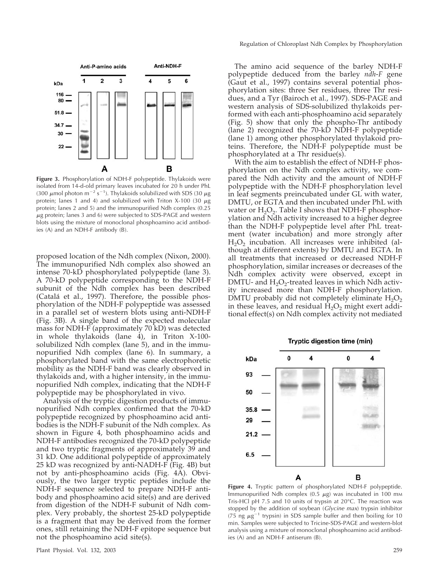

**Figure 3.** Phosphorylation of NDH-F polypeptide. Thylakoids were isolated from 14-d-old primary leaves incubated for 20 h under PhL (300  $\mu$ mol photon m<sup>-2</sup> s<sup>-1</sup>). Thylakoids solubilized with SDS (30  $\mu$ g protein; lanes 1 and 4) and solubilized with Triton X-100 (30  $\mu$ g protein; lanes 2 and 5) and the immunopurified Ndh complex (0.25  $\mu$ g protein; lanes 3 and 6) were subjected to SDS-PAGE and western blots using the mixture of monoclonal phosphoamino acid antibodies (A) and an NDH-F antibody (B).

proposed location of the Ndh complex (Nixon, 2000). The immunopurified Ndh complex also showed an intense 70-kD phosphorylated polypeptide (lane 3). A 70-kD polypeptide corresponding to the NDH-F subunit of the Ndh complex has been described (Catala´ et al., 1997). Therefore, the possible phosphorylation of the NDH-F polypeptide was assessed in a parallel set of western blots using anti-NDH-F (Fig. 3B). A single band of the expected molecular mass for NDH-F (approximately 70 kD) was detected in whole thylakoids (lane 4), in Triton X-100 solubilized Ndh complex (lane 5), and in the immunopurified Ndh complex (lane 6). In summary, a phosphorylated band with the same electrophoretic mobility as the NDH-F band was clearly observed in thylakoids and, with a higher intensity, in the immunopurified Ndh complex, indicating that the NDH-F polypeptide may be phosphorylated in vivo.

Analysis of the tryptic digestion products of immunopurified Ndh complex confirmed that the 70-kD polypeptide recognized by phosphoamino acid antibodies is the NDH-F subunit of the Ndh complex. As shown in Figure 4, both phosphoamino acids and NDH-F antibodies recognized the 70-kD polypeptide and two tryptic fragments of approximately 39 and 31 kD. One additional polypeptide of approximately 25 kD was recognized by anti-NADH-F (Fig. 4B) but not by anti-phosphoamino acids (Fig. 4A). Obviously, the two larger tryptic peptides include the NDH-F sequence selected to prepare NDH-F antibody and phosphoamino acid site(s) and are derived from digestion of the NDH-F subunit of Ndh complex. Very probably, the shortest 25-kD polypeptide is a fragment that may be derived from the former ones, still retaining the NDH-F epitope sequence but not the phosphoamino acid site(s).

The amino acid sequence of the barley NDH-F polypeptide deduced from the barley *ndh*-*F* gene (Gaut et al., 1997) contains several potential phosphorylation sites: three Ser residues, three Thr residues, and a Tyr (Bairoch et al., 1997). SDS-PAGE and western analysis of SDS-solubilized thylakoids performed with each anti-phosphoamino acid separately (Fig. 5) show that only the phospho-Thr antibody (lane 2) recognized the 70-kD NDH-F polypeptide (lane 1) among other phosphorylated thylakoid proteins. Therefore, the NDH-F polypeptide must be phosphorylated at a Thr residue(s).

With the aim to establish the effect of NDH-F phosphorylation on the Ndh complex activity, we compared the Ndh activity and the amount of NDH-F polypeptide with the NDH-F phosphorylation level in leaf segments preincubated under GL with water, DMTU, or EGTA and then incubated under PhL with water or  $H_2O_2$ . Table I shows that NDH-F phosphorylation and Ndh activity increased to a higher degree than the NDH-F polypeptide level after PhL treatment (water incubation) and more strongly after  $H_2O_2$  incubation. All increases were inhibited (although at different extents) by DMTU and EGTA. In all treatments that increased or decreased NDH-F phosphorylation, similar increases or decreases of the Ndh complex activity were observed, except in DMTU- and  $H_2O_2$ -treated leaves in which Ndh activity increased more than NDH-F phosphorylation. DMTU probably did not completely eliminate  $H_2O_2$ in these leaves, and residual  $\overline{H}_2O_2$  might exert additional effect(s) on Ndh complex activity not mediated



**Figure 4.** Tryptic pattern of phosphorylated NDH-F polypeptide. Immunopurified Ndh complex (0.5  $\mu$ g) was incubated in 100 mm Tris-HCl pH 7.5 and 10 units of trypsin at 20°C. The reaction was stopped by the addition of soybean (*Glycine max*) trypsin inhibitor (75 ng  $\mu$ g<sup>-1</sup> trypsin) in SDS sample buffer and then boiling for 10 min. Samples were subjected to Tricine-SDS-PAGE and western-blot analysis using a mixture of monoclonal phosphoamino acid antibodies (A) and an NDH-F antiserum (B).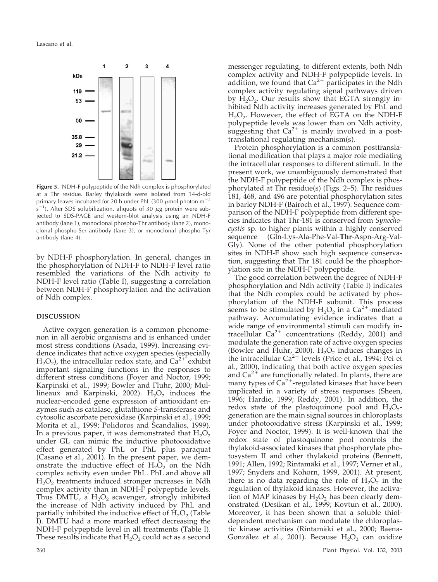

**Figure 5.** NDH-F polypeptide of the Ndh complex is phosphorylated at a Thr residue. Barley thylakoids were isolated from 14-d-old primary leaves incubated for 20 h under PhL (300  $\mu$ mol photon m<sup>-2</sup>  $s^{-1}$ ). After SDS solubilization, aliquots of 30  $\mu$ g protein were subjected to SDS-PAGE and western-blot analysis using an NDH-F antibody (lane 1), monoclonal phospho-Thr antibody (lane 2), monoclonal phospho-Ser antibody (lane 3), or monoclonal phospho-Tyr antibody (lane 4).

by NDH-F phosphorylation. In general, changes in the phosphorylation of NDH-F to NDH-F level ratio resembled the variations of the Ndh activity to NDH-F level ratio (Table I), suggesting a correlation between NDH-F phosphorylation and the activation of Ndh complex.

# **DISCUSSION**

Active oxygen generation is a common phenomenon in all aerobic organisms and is enhanced under most stress conditions (Asada, 1999). Increasing evidence indicates that active oxygen species (especially  $H_2O_2$ , the intracellular redox state, and  $Ca^{2+}$  exhibit important signaling functions in the responses to different stress conditions (Foyer and Noctor, 1999; Karpinski et al., 1999; Bowler and Fluhr, 2000; Mullineaux and Karpinski, 2002).  $H_2O_2$  induces the nuclear-encoded gene expression of antioxidant enzymes such as catalase, glutathione *S*-transferase and cytosolic ascorbate peroxidase (Karpinski et al., 1999; Morita et al., 1999; Polidoros and Scandalios, 1999). In a previous paper, it was demonstrated that  $H_2O_2$ under GL can mimic the inductive photooxidative effect generated by PhL or PhL plus paraquat (Casano et al., 2001). In the present paper, we demonstrate the inductive effect of  $H_2O_2$  on the Ndh complex activity even under PhL. PhL and above all  $H<sub>2</sub>O<sub>2</sub>$  treatments induced stronger increases in Ndh complex activity than in NDH-F polypeptide levels. Thus DMTU, a  $H_2O_2$  scavenger, strongly inhibited the increase of Ndh activity induced by PhL and partially inhibited the inductive effect of  $H_2O_2$  (Table I). DMTU had a more marked effect decreasing the NDH-F polypeptide level in all treatments (Table I). These results indicate that  $H_2O_2$  could act as a second

messenger regulating, to different extents, both Ndh complex activity and NDH-F polypeptide levels. In addition, we found that  $Ca^{2+}$  participates in the Ndh complex activity regulating signal pathways driven by  $H_2O_2$ . Our results show that EGTA strongly inhibited Ndh activity increases generated by PhL and  $H_2O_2$ . However, the effect of EGTA on the NDH-F polypeptide levels was lower than on Ndh activity, suggesting that  $Ca^{2+}$  is mainly involved in a posttranslational regulating mechanism(s).

Protein phosphorylation is a common posttranslational modification that plays a major role mediating the intracellular responses to different stimuli. In the present work, we unambiguously demonstrated that the NDH-F polypeptide of the Ndh complex is phosphorylated at Thr residue(s) (Figs. 2–5). Thr residues 181, 468, and 496 are potential phosphorylation sites in barley NDH-F (Bairoch et al., 1997). Sequence comparison of the NDH-F polypeptide from different species indicates that Thr-181 is conserved from *Synechocystis* sp. to higher plants within a highly conserved sequence (Gln-Lys-Ala-Phe-Val-**Thr**-Aspn-Arg-Val-Gly). None of the other potential phosphorylation sites in NDH-F show such high sequence conservation, suggesting that Thr 181 could be the phosphorylation site in the NDH-F polypeptide.

The good correlation between the degree of NDH-F phosphorylation and Ndh activity (Table I) indicates that the Ndh complex could be activated by phosphorylation of the NDH-F subunit. This process seems to be stimulated by  $H_2O_2$  in a Ca<sup>2+</sup>-mediated pathway. Accumulating evidence indicates that a wide range of environmental stimuli can modify intracellular  $Ca^{2+}$  concentrations (Reddy, 2001) and modulate the generation rate of active oxygen species (Bowler and Fluhr, 2000).  $H_2O_2$  induces changes in the intracellular  $Ca^{2+}$  levels (Price et al., 1994; Pei et al., 2000), indicating that both active oxygen species and  $Ca^{2+}$  are functionally related. In plants, there are many types of  $Ca^{2+}$ -regulated kinases that have been implicated in a variety of stress responses (Sheen, 1996; Hardie, 1999; Reddy, 2001). In addition, the redox state of the plastoquinone pool and  $H_2O_2$ generation are the main signal sources in chloroplasts under photooxidative stress (Karpinski et al., 1999; Foyer and Noctor, 1999). It is well-known that the redox state of plastoquinone pool controls the thylakoid-associated kinases that phosphorylate photosystem II and other thylakoid proteins (Bennett, 1991; Allen, 1992; Rintamäki et al., 1997; Verner et al., 1997; Snyders and Kohorn, 1999, 2001). At present, there is no data regarding the role of  $H_2O_2$  in the regulation of thylakoid kinases. However, the activation of MAP kinases by  $H_2O_2$  has been clearly demonstrated (Desikan et al., 1999; Kovtun et al., 2000). Moreover, it has been shown that a soluble thioldependent mechanism can modulate the chloroplastic kinase activities (Rintamäki et al., 2000; Baena-González et al., 2001). Because  $H_2O_2$  can oxidize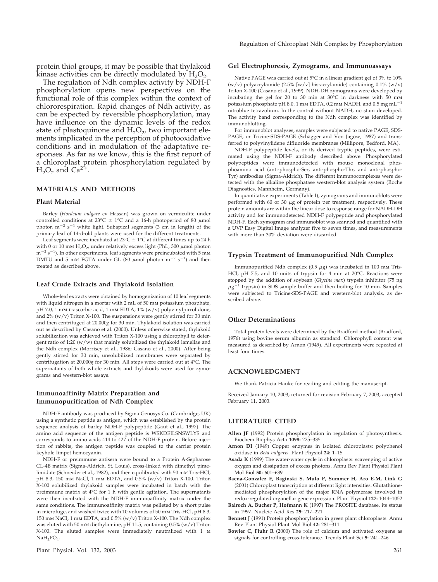protein thiol groups, it may be possible that thylakoid kinase activities can be directly modulated by  $H_2O_2$ .

The regulation of Ndh complex activity by NDH-F phosphorylation opens new perspectives on the functional role of this complex within the context of chlororespiration. Rapid changes of Ndh activity, as can be expected by reversible phosphorylation, may have influence on the dynamic levels of the redox state of plastoquinone and  $H_2O_2$ , two important elements implicated in the perception of photooxidative conditions and in modulation of the adaptative responses. As far as we know, this is the first report of a chloroplast protein phosphorylation regulated by  $H_2O_2$  and  $Ca^{27}$ 

## **MATERIALS AND METHODS**

#### **Plant Material**

Barley (*Hordeum vulgare* cv Hassan) was grown on vermiculite under controlled conditions at 23°C  $\pm$  1°C and a 16-h photoperiod of 80  $\mu$ mol photon  $m^{-2}$  s<sup>-1</sup> white light. Subapical segments (3 cm in length) of the primary leaf of 14-d-old plants were used for the different treatments.

Leaf segments were incubated at  $23^{\circ}C \pm 1^{\circ}C$  at different times up to 24 h with 0 or 10 mm  $H_2O_2$ , under relatively excess light (PhL, 300  $\mu$ mol photon  $m^{-2} s^{-1}$ ). In other experiments, leaf segments were preincubated with 5 mm DMTU and 5 mm EGTA under GL (80  $\mu$ mol photon m<sup>-2</sup> s<sup>-1</sup>) and then treated as described above.

#### **Leaf Crude Extracts and Thylakoid Isolation**

Whole-leaf extracts were obtained by homogenization of 10 leaf segments with liquid nitrogen in a mortar with 2 mL of 50 mm potassium phosphate, pH 7.0, 1 mm l-ascorbic acid, 1 mm EDTA, 1% (w/v) polyvinylpirrolidone, and  $2\%$  (w/v) Triton X-100. The suspensions were gently stirred for 30 min and then centrifuged at 20,000*g* for 30 min. Thylakoid isolation was carried out as described by Casano et al. (2000). Unless otherwise stated, thylakoid solubilization was achieved with Triton X-100 using a chlorophyll to detergent ratio of 1:20 (w/w) that mainly solubilized the thylakoid lamellae and the Ndh complex (Morrisey et al., 1986; Casano et al., 2000). After being gently stirred for 30 min, unsolubilized membranes were separated by centrifugation at 20,000*g* for 30 min. All steps were carried out at 4°C. The supernatants of both whole extracts and thylakoids were used for zymograms and western-blot assays.

## **Immunoaffinity Matrix Preparation and Immunopurification of Ndh Complex**

NDH-F antibody was produced by Sigma Genosys Co. (Cambridge, UK) using a synthetic peptide as antigen, which was established by the protein sequence analysis of barley NDH-F polypeptide (Gaut et al., 1997). The amino acid sequence of the antigen peptide is WSKDEILSNSWLYS and corresponds to amino acids 414 to 427 of the NDH-F protein. Before injection of rabbits, the antigen peptide was coupled to the carrier protein keyhole limpet hemocyanin.

NDH-F or preimmune antisera were bound to a Protein A-Sepharose CL-4B matrix (Sigma-Aldrich, St. Louis), cross-linked with dimethyl pimelimidate (Schneider et al., 1982), and then equilibrated with 50 mm Tris-HCl, pH 8.3, 150 mm NaCl, 1 mm EDTA, and 0.5% (w/v) Triton X-100. Triton X-100 solubilized thylakoid samples were incubated in batch with the preimmune matrix at 4°C for 1 h with gentle agitation. The supernatants were then incubated with the NDH-F immunoaffinity matrix under the same conditions. The immunoaffinity matrix was pelleted by a short pulse in microfuge, and washed twice with 10 volumes of 50 mm Tris-HCl, pH 8.3, 150 mm NaCl, 1 mm EDTA, and 0.5% (w/v) Triton X-100. The Ndh complex was eluted with 50 mm diethylamine, pH 11.5, containing 0.5% (w/v) Triton X-100. The eluted samples were immediately neutralized with 1 m NaH<sub>2</sub>PO<sub>4</sub>.

## **Gel Electrophoresis, Zymograms, and Immunoassays**

Native PAGE was carried out at 5°C in a linear gradient gel of 3% to 10% (w/v) polyacrylamide (2.5% [w/v] bis-acrylamide) containing  $0.1\%$  (w/v) Triton X-100 (Casano et al., 1999). NDH-DH zymograms were developed by incubating the gel for 20 to 30 min at 30°C in darkness with 50 mm potassium phosphate pH 8.0, 1 mm EDTA, 0.2 mm NADH, and 0.5 mg mL $^{-1}$ nitroblue tetrazolium. In the control without NADH, no stain developed. The activity band corresponding to the Ndh complex was identified by immunoblotting.

For immunoblot analyses, samples were subjected to native PAGE, SDS-PAGE, or Tricine-SDS-PAGE (Schägger and Von Jagow, 1987) and transferred to polyvinylidene difluoride membranes (Millipore, Bedford, MA).

NDH-F polypeptide levels, or its derived tryptic peptides, were estimated using the NDH-F antibody described above. Phosphorylated polypeptides were immunodetected with mouse monoclonal phosphoamino acid (anti-phospho-Ser, anti-phospho-Thr, and anti-phospho-Tyr) antibodies (Sigma-Aldrich). The different immunocomplexes were detected with the alkaline phosphatase western-blot analysis system (Roche Diagnostics, Mannheim, Germany).

In quantitative experiments (Table I), zymograms and immunoblots were performed with 60 or 30  $\mu$ g of protein per treatment, respectively. These protein amounts are within the linear dose to response range for NADH-DH activity and for immunodetected NDH-F polypeptide and phosphorylated NDH-F. Each zymogram and immunoblot was scanned and quantified with a UVP Easy Digital Image analyzer five to seven times, and measurements with more than 30% deviation were discarded.

### **Trypsin Treatment of Immunopurified Ndh Complex**

Immunopurified Ndh complex (0.5  $\mu$ g) was incubated in 100 mm Tris-HCl, pH 7.5, and 10 units of trypsin for 4 min at 20°C. Reactions were stopped by the addition of soybean (*Glycine max*) trypsin inhibitor (75 ng  $\mu$ g<sup>-</sup> trypsin) in SDS sample buffer and then boiling for 10 min. Samples were subjected to Tricine-SDS-PAGE and western-blot analysis, as described above.

## **Other Determinations**

Total protein levels were determined by the Bradford method (Bradford, 1976) using bovine serum albumin as standard. Chlorophyll content was measured as described by Arnon (1949). All experiments were repeated at least four times.

## **ACKNOWLEDGMENT**

We thank Patricia Hauke for reading and editing the manuscript.

Received January 10, 2003; returned for revision February 7, 2003; accepted February 11, 2003.

## **LITERATURE CITED**

- **Allen JF** (1992) Protein phosphorylation in regulation of photosynthesis. Biochem Biophys Acta **1098:** 275–335
- **Arnon DI** (1949) Copper enzymes in isolated chloroplasts: polyphenol oxidase in *Beta vulgaris*. Plant Physiol **24:** 1–15
- **Asada K** (1999) The water-water cycle in chloroplasts: scavenging of active oxygen and dissipation of excess photons. Annu Rev Plant Physiol Plant Mol Biol **50:** 601–639

**Baena-Gonzalez E, Baginski S, Mulo P, Summer H, Aro E-M, Link G** (2001) Chloroplast transcription at different light intensities. Glutathionemediated phosphorylation of the major RNA polymerase involved in redox-regulated organellar gene expression. Plant Physiol **127:** 1044–1052

- **Bairoch A, Bucher P, Hofmann K** (1997) The PROSITE database, its status in 1997. Nucleic Acid Res **25:** 217–221
- **Bennett J** (1991) Protein phosphorylation in green plant chloroplasts. Annu Rev Plant Physiol Plant Mol Biol **42:** 281–311
- **Bowler C, Fluhr R** (2000) The role of calcium and activated oxygens as signals for controlling cross-tolerance. Trends Plant Sci **5:** 241–246